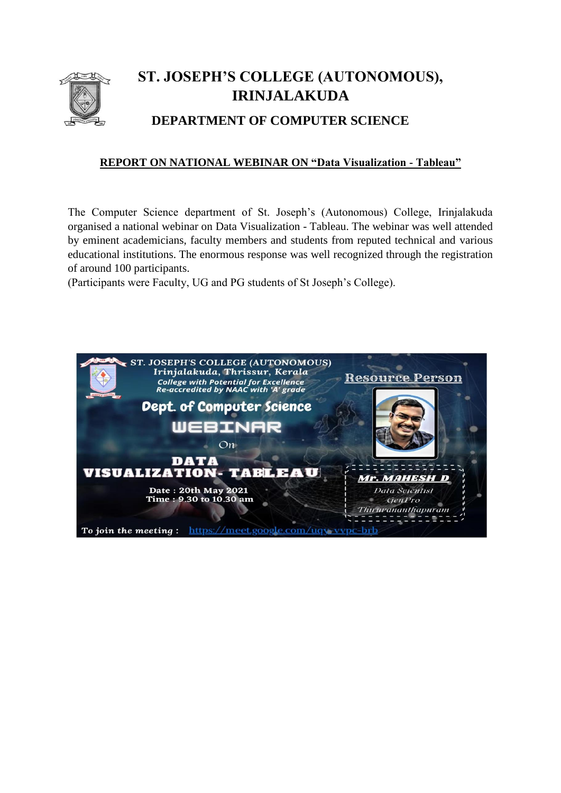

## **ST. JOSEPH'S COLLEGE (AUTONOMOUS), IRINJALAKUDA**

## **DEPARTMENT OF COMPUTER SCIENCE**

## **REPORT ON NATIONAL WEBINAR ON "Data Visualization - Tableau"**

The Computer Science department of St. Joseph's (Autonomous) College, Irinjalakuda organised a national webinar on Data Visualization - Tableau. The webinar was well attended by eminent academicians, faculty members and students from reputed technical and various educational institutions. The enormous response was well recognized through the registration of around 100 participants.

(Participants were Faculty, UG and PG students of St Joseph's College).

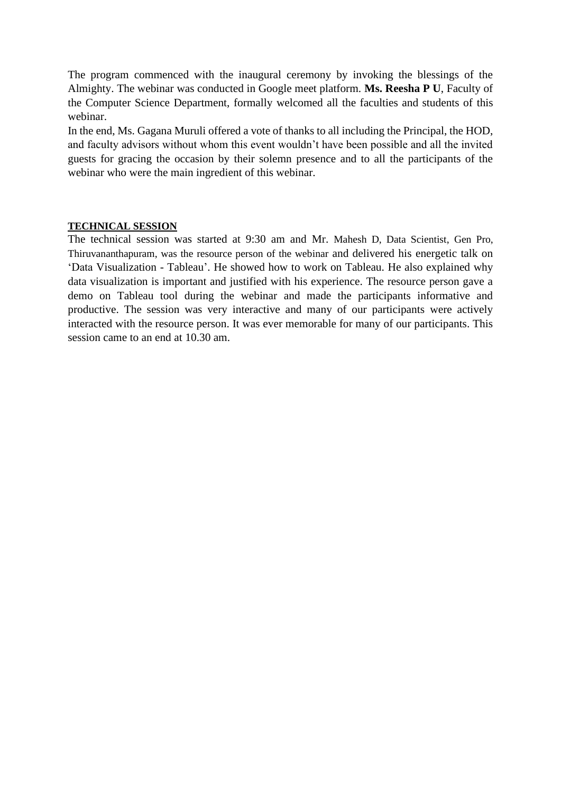The program commenced with the inaugural ceremony by invoking the blessings of the Almighty. The webinar was conducted in Google meet platform. **Ms. Reesha P U**, Faculty of the Computer Science Department, formally welcomed all the faculties and students of this webinar.

In the end, Ms. Gagana Muruli offered a vote of thanks to all including the Principal, the HOD, and faculty advisors without whom this event wouldn't have been possible and all the invited guests for gracing the occasion by their solemn presence and to all the participants of the webinar who were the main ingredient of this webinar.

## **TECHNICAL SESSION**

The technical session was started at 9:30 am and Mr. Mahesh D, Data Scientist, Gen Pro, Thiruvananthapuram, was the resource person of the webinar and delivered his energetic talk on 'Data Visualization - Tableau'. He showed how to work on Tableau. He also explained why data visualization is important and justified with his experience. The resource person gave a demo on Tableau tool during the webinar and made the participants informative and productive. The session was very interactive and many of our participants were actively interacted with the resource person. It was ever memorable for many of our participants. This session came to an end at 10.30 am.